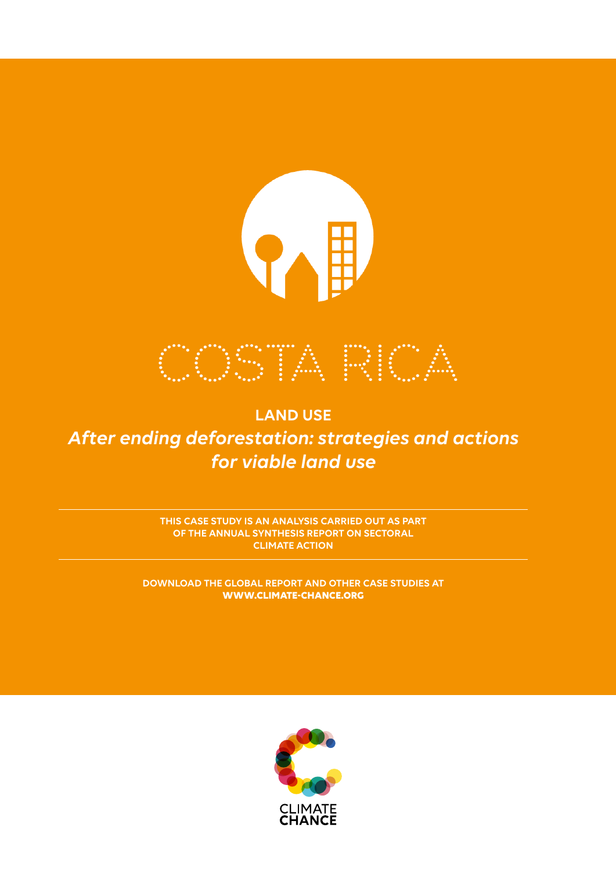

**LAND USE** *After ending deforestation: strategies and actions for viable land use*

> **THIS CASE STUDY IS AN ANALYSIS CARRIED OUT AS PART OF THE ANNUAL SYNTHESIS REPORT ON SECTORAL CLIMATE ACTION**

**DOWNLOAD THE GLOBAL REPORT AND OTHER CASE STUDIES AT WWW.CLIMATE-CHANCE.ORG** 

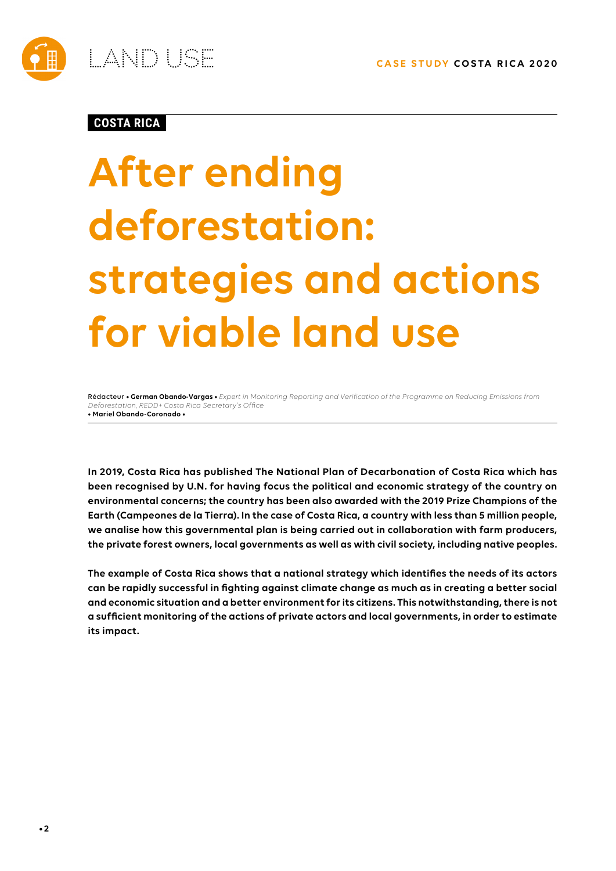

## **COSTA RICA**

# **After ending deforestation: strategies and actions for viable land use**

Rédacteur **• German Obando-Vargas •** *Expert in Monitoring Reporting and Verification of the Programme on Reducing Emissions from Deforestation, REDD+ Costa Rica Secretary's Office*  **• Mariel Obando-Coronado •**

**In 2019, Costa Rica has published The National Plan of Decarbonation of Costa Rica which has been recognised by U.N. for having focus the political and economic strategy of the country on environmental concerns; the country has been also awarded with the 2019 Prize Champions of the Earth (Campeones de la Tierra). In the case of Costa Rica, a country with less than 5 million people, we analise how this governmental plan is being carried out in collaboration with farm producers, the private forest owners, local governments as well as with civil society, including native peoples.**

**The example of Costa Rica shows that a national strategy which identifies the needs of its actors can be rapidly successful in fighting against climate change as much as in creating a better social and economic situation and a better environment for its citizens. This notwithstanding, there is not a sufficient monitoring of the actions of private actors and local governments, in order to estimate its impact.**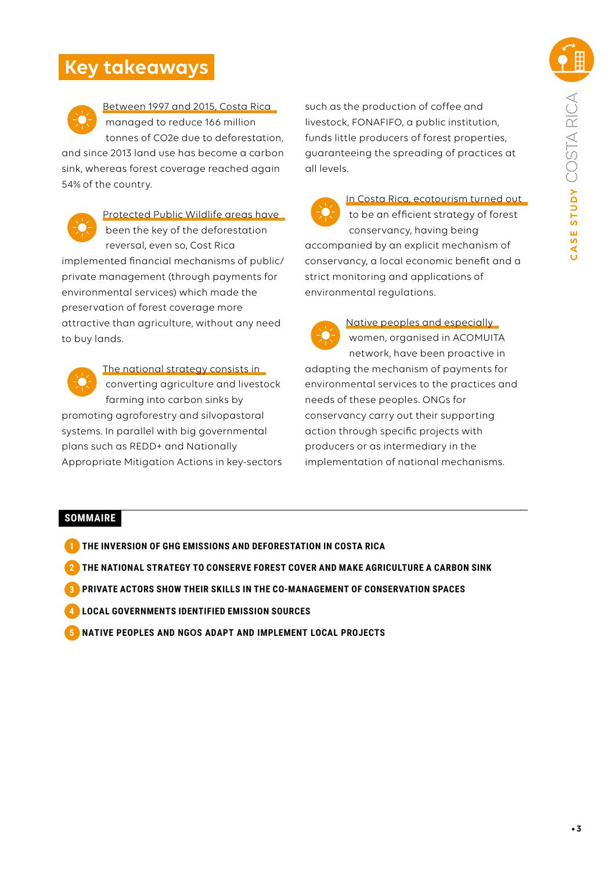# **Key takeaways**



Between 1997 and 2015, Costa Rica managed to reduce 166 million tonnes of CO2e due to deforestation,

and since 2013 land use has become a carbon sink, whereas forest coverage reached again 54% of the country.



Protected Public Wildlife areas have been the key of the deforestation reversal, even so, Cost Rica implemented financial mechanisms of public/ private management (through payments for

environmental services) which made the preservation of forest coverage more attractive than agriculture, without any need to buy lands.



The national strategy consists in converting agriculture and livestock farming into carbon sinks by promoting agroforestry and silvopastoral systems. In parallel with big governmental plans such as REDD+ and Nationally Appropriate Mitigation Actions in key-sectors such as the production of coffee and livestock, FONAFIFO, a public institution, funds little producers of forest properties, guaranteeing the spreading of practices at all levels.

In Costa Rica, ecotourism turned out to be an efficient strategy of forest conservancy, having being accompanied by an explicit mechanism of conservancy, a local economic benefit and a strict monitoring and applications of environmental regulations.



Native peoples and especially women, organised in ACOMUITA

network, have been proactive in adapting the mechanism of payments for environmental services to the practices and needs of these peoples. ONGs for conservancy carry out their supporting action through specific projects with producers or as intermediary in the implementation of national mechanisms.

## **SOMMAIRE**

- **1 THE INVERSION OF GHG EMISSIONS AND DEFORESTATION IN COSTA RICA**
- **2 THE NATIONAL STRATEGY TO CONSERVE FOREST COVER AND MAKE AGRICULTURE A CARBON SINK**
- **3 PRIVATE ACTORS SHOW THEIR SKILLS IN THE CO-MANAGEMENT OF CONSERVATION SPACES**
- **4 LOCAL GOVERNMENTS IDENTIFIED EMISSION SOURCES**
- **5 NATIVE PEOPLES AND NGOS ADAPT AND IMPLEMENT LOCAL PROJECTS**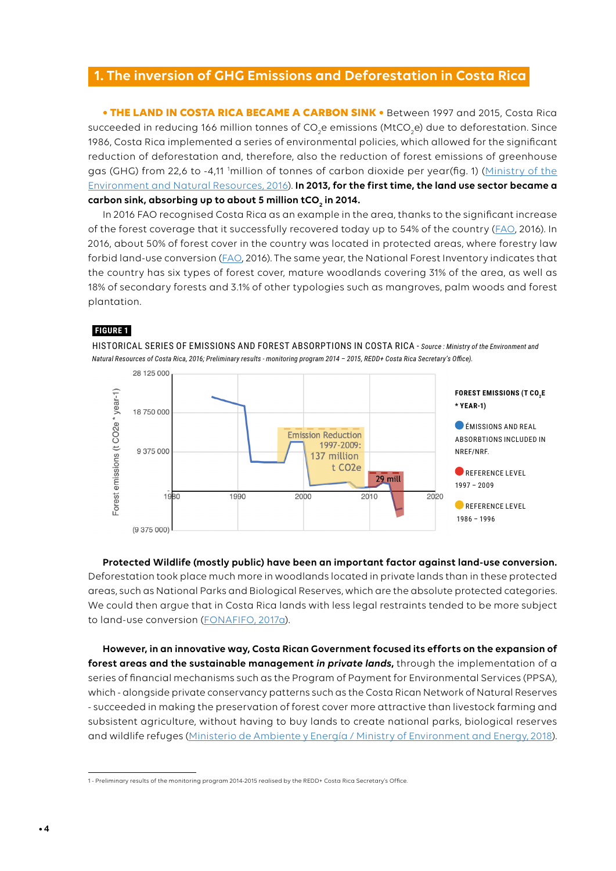## **1. The inversion of GHG Emissions and Deforestation in Costa Rica**

**• THE LAND IN COSTA RICA BECAME A CARBON SINK •** Between 1997 and 2015, Costa Rica succeeded in reducing 166 million tonnes of CO<sub>2</sub>e emissions (MtCO<sub>2</sub>e) due to deforestation. Since 1986, Costa Rica implemented a series of environmental policies, which allowed for the significant reduction of deforestation and, therefore, also the reduction of forest emissions of greenhouse gas (GHG) from 22,6 to -4,11 <sup>1</sup>million of tonnes of carbon dioxide per year(fig. 1) (Ministry of the Environment and Natural Resources[, 2016](https://redd.unfccc.int/files/2016_submission_frel_costa_rica.pdf)). **In 2013, for the first time, the land use sector became a**  carbon sink, absorbing up to about 5 million tCO<sub>2</sub> in 2014.

In 2016 FAO recognised Costa Rica as an example in the area, thanks to the significant increase of the forest coverage that it successfully recovered today up to 54% of the country ([FAO](http://www.fao.org/publications/sofo/2016/en/), 2016). In 2016, about 50% of forest cover in the country was located in protected areas, where forestry law forbid land-use conversion ([FAO](http://www.fao.org/costarica/noticias/detail-events/es/c/426096/), 2016). The same year, the National Forest Inventory indicates that the country has six types of forest cover, mature woodlands covering 31% of the area, as well as 18% of secondary forests and 3.1% of other typologies such as mangroves, palm woods and forest plantation.

#### **FIGURE 1**

HISTORICAL SERIES OF EMISSIONS AND FOREST ABSORPTIONS IN COSTA RICA - *Source : Ministry of the Environment and Natural Resources of Costa Rica, 2016; Preliminary results - monitoring program 2014 – 2015, REDD+ Costa Rica Secretary's Office).* 



**Protected Wildlife (mostly public) have been an important factor against land-use conversion.**  Deforestation took place much more in woodlands located in private lands than in these protected areas, such as National Parks and Biological Reserves, which are the absolute protected categories. We could then argue that in Costa Rica lands with less legal restraints tended to be more subject to land-use conversion [\(FONAFIFO, 2017a\)](https://www.forestcarbonpartnership.org/sites/fcp/files/2016/May/CR-ERPD-May%2024-%202016.pdf).

**However, in an innovative way, Costa Rican Government focused its efforts on the expansion of forest areas and the sustainable management** *in private lands***,** through the implementation of a series of financial mechanisms such as the Program of Payment for Environmental Services (PPSA), which - alongside private conservancy patterns such as the Costa Rican Network of Natural Reserves - succeeded in making the preservation of forest cover more attractive than livestock farming and subsistent agriculture, without having to buy lands to create national parks, biological reserves and wildlife refuges (Ministerio de Ambiente y Energía / Ministry of Environment and Energy, 2018).

<sup>1 -</sup> Preliminary results of the monitoring program 2014-2015 realised by the REDD+ Costa Rica Secretary's Office.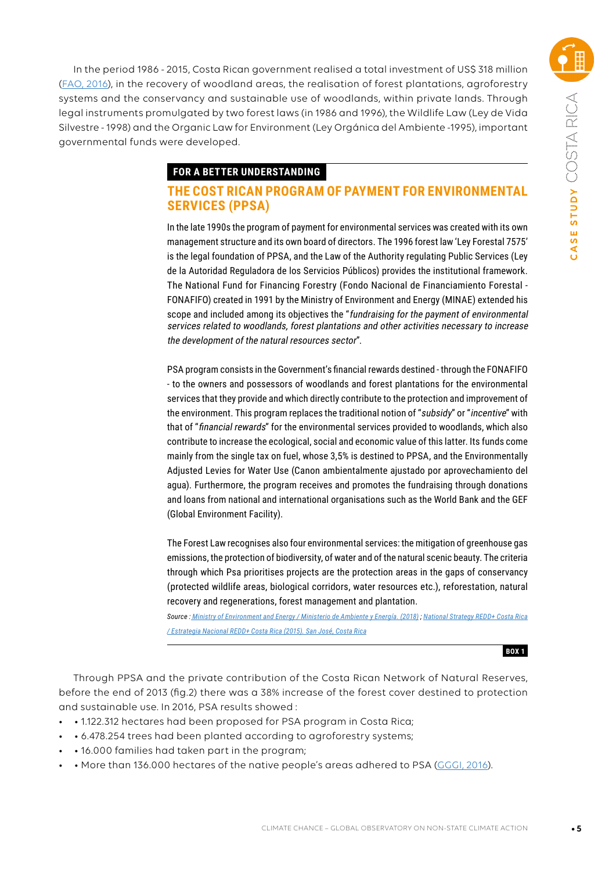In the period 1986 - 2015, Costa Rican government realised a total investment of US\$ 318 million ([FAO, 2016](http://www.fao.org/costarica/noticias/detail-events/es/c/426096/)), in the recovery of woodland areas, the realisation of forest plantations, agroforestry systems and the conservancy and sustainable use of woodlands, within private lands. Through legal instruments promulgated by two forest laws (in 1986 and 1996), the Wildlife Law (Ley de Vida Silvestre - 1998) and the Organic Law for Environment (Ley Orgánica del Ambiente -1995), important governmental funds were developed.

#### **FOR A BETTER UNDERSTANDING**

## **THE COST RICAN PROGRAM OF PAYMENT FOR ENVIRONMENTAL SERVICES (PPSA)**

In the late 1990s the program of payment for environmental services was created with its own management structure and its own board of directors. The 1996 forest law 'Ley Forestal 7575' is the legal foundation of PPSA, and the Law of the Authority regulating Public Services (Ley de la Autoridad Reguladora de los Servicios Públicos) provides the institutional framework. The National Fund for Financing Forestry (Fondo Nacional de Financiamiento Forestal - FONAFIFO) created in 1991 by the Ministry of Environment and Energy (MINAE) extended his scope and included among its objectives the "fundraising for the payment of environmental services related to woodlands, forest plantations and other activities necessary to increase the development of the natural resources sector".

PSA program consists in the Government's financial rewards destined - through the FONAFIFO - to the owners and possessors of woodlands and forest plantations for the environmental services that they provide and which directly contribute to the protection and improvement of the environment. This program replaces the traditional notion of "subsidy" or "incentive" with that of "financial rewards" for the environmental services provided to woodlands, which also contribute to increase the ecological, social and economic value of this latter. Its funds come mainly from the single tax on fuel, whose 3,5% is destined to PPSA, and the Environmentally Adjusted Levies for Water Use (Canon ambientalmente ajustado por aprovechamiento del agua). Furthermore, the program receives and promotes the fundraising through donations and loans from national and international organisations such as the World Bank and the GEF (Global Environment Facility).

The Forest Law recognises also four environmental services: the mitigation of greenhouse gas emissions, the protection of biodiversity, of water and of the natural scenic beauty. The criteria through which Psa prioritises projects are the protection areas in the gaps of conservancy (protected wildlife areas, biological corridors, water resources etc.), reforestation, natural recovery and regenerations, forest management and plantation.

*Source [: M](https://observatoriodeldesarrollo.com/wp-content/uploads/2018/12/00-Estado-del-Ambiente-Resumen-Ejecutivo-PDF-web-VF.pdf)inistry of Environment and Energy / Ministerio de Ambiente y Energía. (2018) ; National Strategy REDD+ Costa Rica / Estrategia Nacional REDD+ Costa Rica (2015). San José, Costa Rica*

**BOX 1**

Through PPSA and the private contribution of the Costa Rican Network of Natural Reserves, before the end of 2013 (fig.2) there was a 38% increase of the forest cover destined to protection and sustainable use. In 2016, PSA results showed :

- • 1.122.312 hectares had been proposed for PSA program in Costa Rica;
- • 6.478.254 trees had been planted according to agroforestry systems;
- • 16.000 families had taken part in the program;
- • More than 136.000 hectares of the native people's areas adhered to PSA ([GGGI, 2016](https://gggi.org/site/assets/uploads/2016/12/2016-10-Bridging-the-Policy-and-Investment-Gap-for-Payment-for-Ecosystem-Services-Learning-from-the-Costa-Rican-Experience-and-Roads-Ahead.pdf)).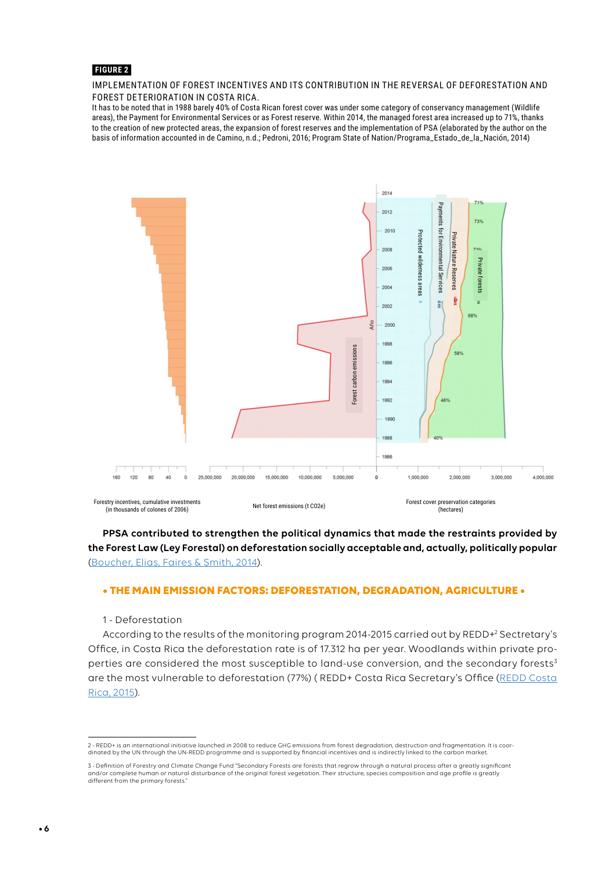#### **FIGURE 2**

#### IMPLEMENTATION OF FOREST INCENTIVES AND ITS CONTRIBUTION IN THE REVERSAL OF DEFORESTATION AND FOREST DETERIORATION IN COSTA RICA.

It has to be noted that in 1988 barely 40% of Costa Rican forest cover was under some category of conservancy management (Wildlife areas), the Payment for Environmental Services or as Forest reserve. Within 2014, the managed forest area increased up to 71%, thanks to the creation of new protected areas, the expansion of forest reserves and the implementation of PSA (elaborated by the author on the basis of information accounted in de Camino, n.d.; Pedroni, 2016; Program State of Nation/Programa\_Estado\_de\_la\_Nación, 2014)



## **PPSA contributed to strengthen the political dynamics that made the restraints provided by the Forest Law (Ley Forestal) on deforestation socially acceptable and, actually, politically popular** [\(Boucher, Elias, Faires & Smith, 2014\)](https://www.ucsusa.org/sites/default/files/legacy/assets/documents/global_warming/deforestation-success-stories-2014.pdf).

#### **• THE MAIN EMISSION FACTORS: DEFORESTATION, DEGRADATION, AGRICULTURE •**

1 - Deforestation

According to the results of the monitoring program 2014-2015 carried out by REDD+2 Sectretary's Office, in Costa Rica the deforestation rate is of 17.312 ha per year. Woodlands within private properties are considered the most susceptible to land-use conversion, and the secondary forests<sup>3</sup> are the most vulnerable to deforestation (77%) ( REDD+ Costa Rica Secretary's Office ([REDD Costa](https://www.forestcarbonpartnership.org/sites/fcp/files/2015/October/8-Costa%20Rica%20Borrador%20de%20la%20Estrategia%20Nacional%20REDD+Spanish%20v%2030%20Sept.pdf)  [Rica, 2015](https://www.forestcarbonpartnership.org/sites/fcp/files/2015/October/8-Costa%20Rica%20Borrador%20de%20la%20Estrategia%20Nacional%20REDD+Spanish%20v%2030%20Sept.pdf)).

<sup>2 -</sup> REDD+ is an international initiative launched in 2008 to reduce GHG emissions from forest degradation, destruction and fragmentation. It is coordinated by the UN through the UN-REDD programme and is supported by financial incentives and is indirectly linked to the carbon market.

<sup>3 -</sup> Definition of Forestry and Climate Change Fund "Secondary Forests are forests that regrow through a natural process after a greatly significant and/or complete human or natural disturbance of the original forest vegetation. Their structure, species composition and age profile is greatly different from the primary forests."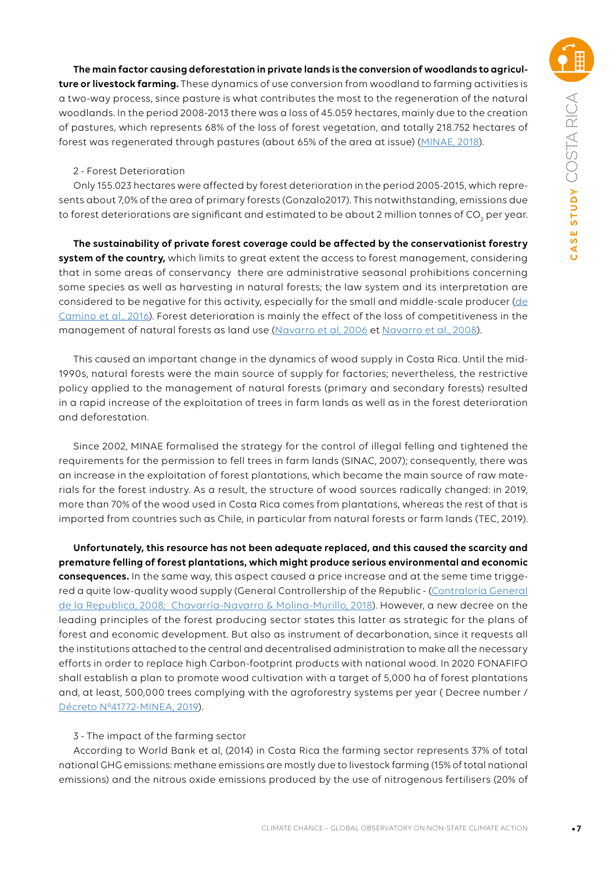**The main factor causing deforestation in private lands is the conversion of woodlands to agriculture or livestock farming.** These dynamics of use conversion from woodland to farming activities is a two-way process, since pasture is what contributes the most to the regeneration of the natural woodlands. In the period 2008-2013 there was a loss of 45.059 hectares, mainly due to the creation of pastures, which represents 68% of the loss of forest vegetation, and totally 218.752 hectares of forest was regenerated through pastures (about 65% of the area at issue) ([MINAE, 2018\)](https://observatoriodeldesarrollo.com/wp-content/uploads/2018/12/00-Estado-del-Ambiente-Resumen-Ejecutivo-PDF-web-VF.pdf).

#### 2 - Forest Deterioration

Only 155.023 hectares were affected by forest deterioration in the period 2005-2015, which represents about 7,0% of the area of primary forests (Gonzalo2017). This notwithstanding, emissions due to forest deteriorations are significant and estimated to be about 2 million tonnes of CO<sub>2</sub> per year.

**The sustainability of private forest coverage could be affected by the conservationist forestry system of the country,** which limits to great extent the access to forest management, considering that in some areas of conservancy there are administrative seasonal prohibitions concerning some species as well as harvesting in natural forests; the law system and its interpretation are considered to be negative for this activity, especially for the small and middle-scale producer [\(de](http://www.fao.org/3/a-i5588s.pdf) [Camino et al., 2016\)](http://www.fao.org/3/a-i5588s.pdf). Forest deterioration is mainly the effect of the loss of competitiveness in the management of natural forests as land use ([Navarro et al, 2006](http://www.fao.org/forestry/12925-0876f8fe8d9a597707a654029b82a818a.pdf) et [Navarro et al., 2008\)](https://onfcr.org/media/uploads/cyclope_old/adjuntos/AbastecimientoSostenible_Madera_CRnu34231.pdf).

This caused an important change in the dynamics of wood supply in Costa Rica. Until the mid-1990s, natural forests were the main source of supply for factories; nevertheless, the restrictive policy applied to the management of natural forests (primary and secondary forests) resulted in a rapid increase of the exploitation of trees in farm lands as well as in the forest deterioration and deforestation.

Since 2002, MINAE formalised the strategy for the control of illegal felling and tightened the requirements for the permission to fell trees in farm lands (SINAC, 2007); consequently, there was an increase in the exploitation of forest plantations, which became the main source of raw materials for the forest industry. As a result, the structure of wood sources radically changed: in 2019, more than 70% of the wood used in Costa Rica comes from plantations, whereas the rest of that is imported from countries such as Chile, in particular from natural forests or farm lands (TEC, 2019).

**Unfortunately, this resource has not been adequate replaced, and this caused the scarcity and premature felling of forest plantations, which might produce serious environmental and economic consequences.** In the same way, this aspect caused a price increase and at the seme time triggered a quite low-quality wood supply (General Controllership of the Republic - (Contraloría General de la Republica, 2008; Chavarría-Navarro & Molina-Murillo, 2018). However, a new decree on the leading principles of the forest producing sector states this latter as strategic for the plans of forest and economic development. But also as instrument of decarbonation, since it requests all the institutions attached to the central and decentralised administration to make all the necessary efforts in order to replace high Carbon-footprint products with national wood. In 2020 FONAFIFO shall establish a plan to promote wood cultivation with a target of 5,000 ha of forest plantations and, at least, 500,000 trees complying with the agroforestry systems per year ( Decree number / [Décreto N°41772-MINEA, 2019\)](https://www.tec.ac.cr/hoyeneltec/sites/default/files/media/doc/decreto_no._41772.pdf).

#### 3 - The impact of the farming sector

According to World Bank et al, (2014) in Costa Rica the farming sector represents 37% of total national GHG emissions: methane emissions are mostly due to livestock farming (15% of total national emissions) and the nitrous oxide emissions produced by the use of nitrogenous fertilisers (20% of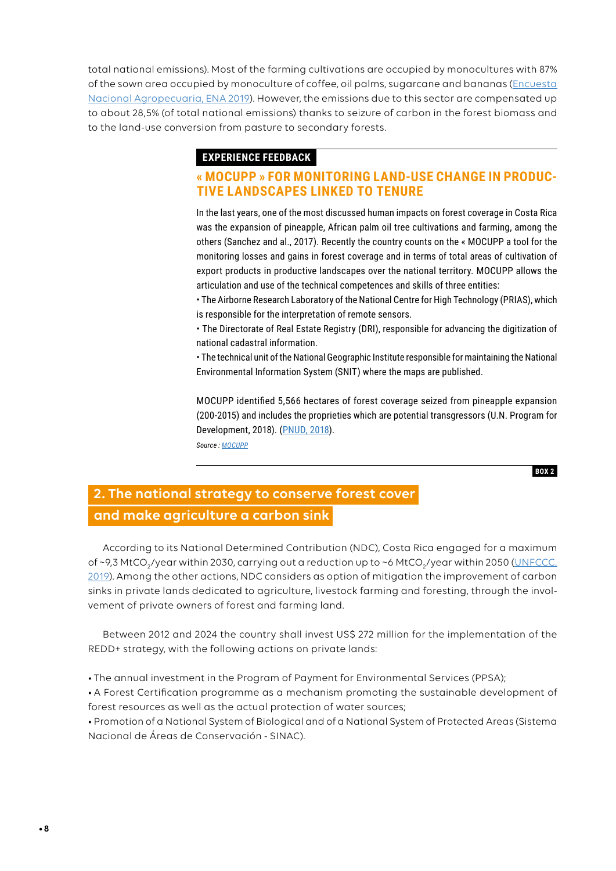total national emissions). Most of the farming cultivations are occupied by monocultures with 87% of the sown area occupied by monoculture of coffee, oil palms, sugarcane and bananas [\(Encuesta](https://www.inec.cr/publicaciones?fuente_tid=880)  [Nacional Agropecuaria, ENA 2019](https://www.inec.cr/publicaciones?fuente_tid=880)). However, the emissions due to this sector are compensated up to about 28,5% (of total national emissions) thanks to seizure of carbon in the forest biomass and to the land-use conversion from pasture to secondary forests.

## **EXPERIENCE FEEDBACK**

## **« MOCUPP » FOR MONITORING LAND-USE CHANGE IN PRODUC-TIVE LANDSCAPES LINKED TO TENURE**

In the last years, one of the most discussed human impacts on forest coverage in Costa Rica was the expansion of pineapple, African palm oil tree cultivations and farming, among the others (Sanchez and al., 2017). Recently the country counts on the « MOCUPP a tool for the monitoring losses and gains in forest coverage and in terms of total areas of cultivation of export products in productive landscapes over the national territory. MOCUPP allows the articulation and use of the technical competences and skills of three entities:

• The Airborne Research Laboratory of the National Centre for High Technology (PRIAS), which is responsible for the interpretation of remote sensors.

• The Directorate of Real Estate Registry (DRI), responsible for advancing the digitization of national cadastral information.

• The technical unit of the National Geographic Institute responsible for maintaining the National Environmental Information System (SNIT) where the maps are published.

MOCUPP identified 5,566 hectares of forest coverage seized from pineapple expansion (200-2015) and includes the proprieties which are potential transgressors (U.N. Program for Development, 2018). [\(PNUD, 2018](https://www.cr.undp.org/content/costarica/es/home/library/Informe-bianual-PNUD.html)).

*Source : [MOCUPP](http://www.mocupp.org)*

**BOX 2**

## **2. The national strategy to conserve forest cover and make agriculture a carbon sink**

According to its National Determined Contribution (NDC), Costa Rica engaged for a maximum of ~9,3 MtCO<sub>2</sub>/year within 2030, carrying out a reduction up to ~6 MtCO<sub>2</sub>/year within 2050 (<u>UNFCCC,</u> [2019\)](https://www4.unfccc.int/sites/NDCStaging/Pages/Search.aspx?k=Costa%20Rica). Among the other actions, NDC considers as option of mitigation the improvement of carbon sinks in private lands dedicated to agriculture, livestock farming and foresting, through the involvement of private owners of forest and farming land.

Between 2012 and 2024 the country shall invest US\$ 272 million for the implementation of the REDD+ strategy, with the following actions on private lands:

• The annual investment in the Program of Payment for Environmental Services (PPSA);

• A Forest Certification programme as a mechanism promoting the sustainable development of forest resources as well as the actual protection of water sources;

• Promotion of a National System of Biological and of a National System of Protected Areas (Sistema Nacional de Áreas de Conservación - SINAC).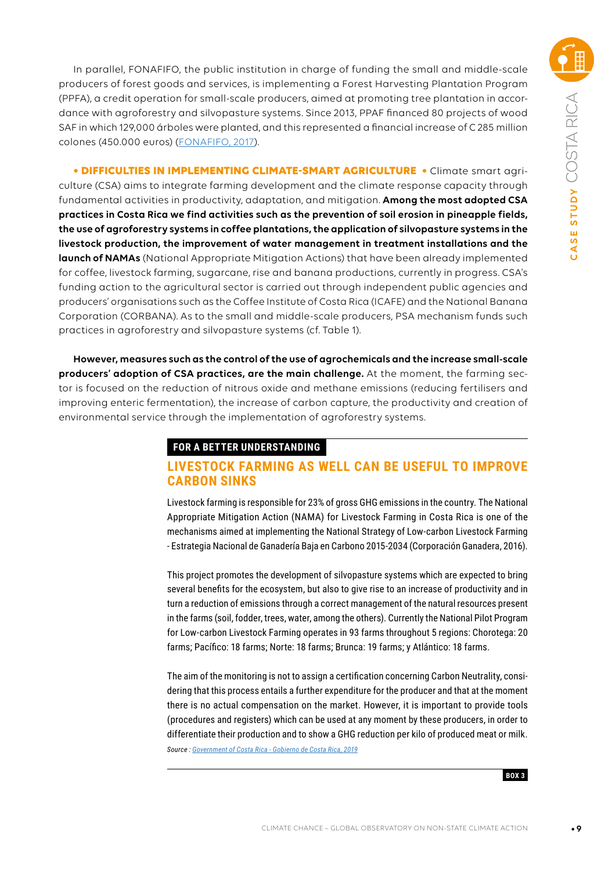In parallel, FONAFIFO, the public institution in charge of funding the small and middle-scale producers of forest goods and services, is implementing a Forest Harvesting Plantation Program (PPFA), a credit operation for small-scale producers, aimed at promoting tree plantation in accordance with agroforestry and silvopasture systems. Since 2013, PPAF financed 80 projects of wood SAF in which 129,000 árboles were planted, and this represented a financial increase of C 285 million colones (450.000 euros) ([FONAFIFO, 2017\)](http://www.fonafifo.go.cr/media/1557/2-e_fid31122016.pdf).

**• DIFFICULTIES IN IMPLEMENTING CLIMATE-SMART AGRICULTURE •** Climate smart agriculture (CSA) aims to integrate farming development and the climate response capacity through fundamental activities in productivity, adaptation, and mitigation. **Among the most adopted CSA practices in Costa Rica we find activities such as the prevention of soil erosion in pineapple fields, the use of agroforestry systems in coffee plantations, the application of silvopasture systems in the livestock production, the improvement of water management in treatment installations and the launch of NAMAs** (National Appropriate Mitigation Actions) that have been already implemented for coffee, livestock farming, sugarcane, rise and banana productions, currently in progress. CSA's funding action to the agricultural sector is carried out through independent public agencies and producers' organisations such as the Coffee Institute of Costa Rica (ICAFE) and the National Banana Corporation (CORBANA). As to the small and middle-scale producers, PSA mechanism funds such practices in agroforestry and silvopasture systems (cf. Table 1).

**However, measures such as the control of the use of agrochemicals and the increase small-scale producers' adoption of CSA practices, are the main challenge.** At the moment, the farming sector is focused on the reduction of nitrous oxide and methane emissions (reducing fertilisers and improving enteric fermentation), the increase of carbon capture, the productivity and creation of environmental service through the implementation of agroforestry systems.

## **FOR A BETTER UNDERSTANDING**

## **LIVESTOCK FARMING AS WELL CAN BE USEFUL TO IMPROVE CARBON SINKS**

Livestock farming is responsible for 23% of gross GHG emissions in the country. The National Appropriate Mitigation Action (NAMA) for Livestock Farming in Costa Rica is one of the mechanisms aimed at implementing the National Strategy of Low-carbon Livestock Farming - Estrategia Nacional de Ganadería Baja en Carbono 2015-2034 (Corporación Ganadera, 2016).

This project promotes the development of silvopasture systems which are expected to bring several benefits for the ecosystem, but also to give rise to an increase of productivity and in turn a reduction of emissions through a correct management of the natural resources present in the farms (soil, fodder, trees, water, among the others). Currently the National Pilot Program for Low-carbon Livestock Farming operates in 93 farms throughout 5 regions: Chorotega: 20 farms; Pacífico: 18 farms; Norte: 18 farms; Brunca: 19 farms; y Atlántico: 18 farms.

The aim of the monitoring is not to assign a certification concerning Carbon Neutrality, considering that this process entails a further expenditure for the producer and that at the moment there is no actual compensation on the market. However, it is important to provide tools (procedures and registers) which can be used at any moment by these producers, in order to differentiate their production and to show a GHG reduction per kilo of produced meat or milk. *Source : Government of Costa Rica - Gobierno de Costa Rica, 2019*

**BOX 3**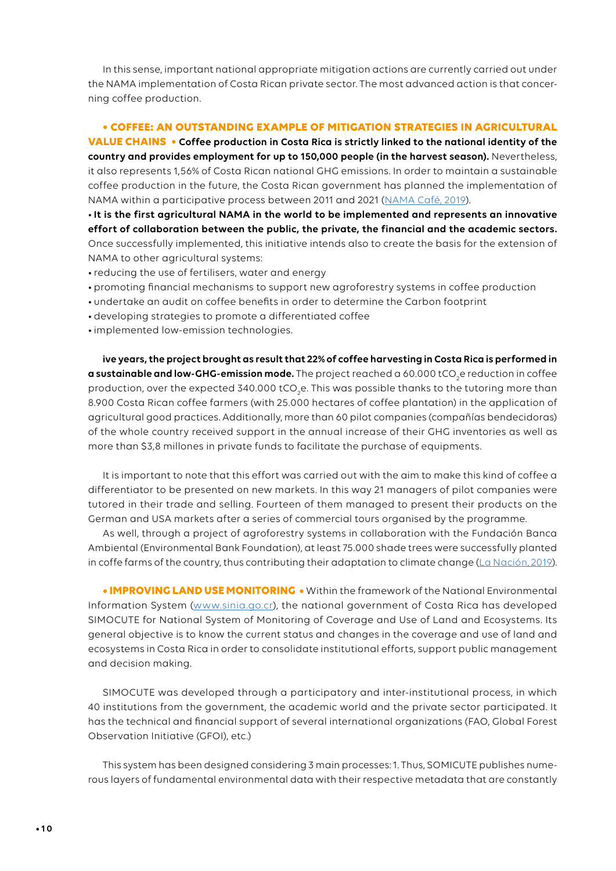In this sense, important national appropriate mitigation actions are currently carried out under the NAMA implementation of Costa Rican private sector. The most advanced action is that concerning coffee production.

#### **• COFFEE: AN OUTSTANDING EXAMPLE OF MITIGATION STRATEGIES IN AGRICULTURAL**

**VALUE CHAINS • Coffee production in Costa Rica is strictly linked to the national identity of the country and provides employment for up to 150,000 people (in the harvest season).** Nevertheless, it also represents 1,56% of Costa Rican national GHG emissions. In order to maintain a sustainable coffee production in the future, the Costa Rican government has planned the implementation of NAMA within a participative process between 2011 and 2021 ([NAMA Café, 2019](http://www.namacafe.org/nama-cafe-de-costa-rica)).

•**It is the first agricultural NAMA in the world to be implemented and represents an innovative effort of collaboration between the public, the private, the financial and the academic sectors.**  Once successfully implemented, this initiative intends also to create the basis for the extension of NAMA to other agricultural systems:

- •reducing the use of fertilisers, water and energy
- promoting financial mechanisms to support new agroforestry systems in coffee production
- undertake an audit on coffee benefits in order to determine the Carbon footprint
- developing strategies to promote a differentiated coffee
- •implemented low-emission technologies.

**ive years, the project brought as result that 22% of coffee harvesting in Costa Rica is performed in a sustainable and low-GHG-emission mode.** The project reached a 60.000 tCO<sub>2</sub>e reduction in coffee production, over the expected 340.000 tCO<sub>2</sub>e. This was possible thanks to the tutoring more than 8.900 Costa Rican coffee farmers (with 25.000 hectares of coffee plantation) in the application of agricultural good practices. Additionally, more than 60 pilot companies (compañías bendecidoras) of the whole country received support in the annual increase of their GHG inventories as well as more than \$3,8 millones in private funds to facilitate the purchase of equipments.

It is important to note that this effort was carried out with the aim to make this kind of coffee a differentiator to be presented on new markets. In this way 21 managers of pilot companies were tutored in their trade and selling. Fourteen of them managed to present their products on the German and USA markets after a series of commercial tours organised by the programme.

As well, through a project of agroforestry systems in collaboration with the Fundación Banca Ambiental (Environmental Bank Foundation), at least 75.000 shade trees were successfully planted in coffe farms of the country, thus contributing their adaptation to climate change [\(La Nación, 2019\)](https://www.nacion.com/economia/agro/costa-rica-produce-el-22-de-su-cafe-en-forma/XTMOMT7VNRDJRKVRXUJUELHTN4/story/).

**• IMPROVING LAND USE MONITORING •** Within the framework of the National Environmental Information System [\(www.sinia.go.cr\)](http://www.sinia.go.cr), the national government of Costa Rica has developed SIMOCUTE for National System of Monitoring of Coverage and Use of Land and Ecosystems. Its general objective is to know the current status and changes in the coverage and use of land and ecosystems in Costa Rica in order to consolidate institutional efforts, support public management and decision making.

SIMOCUTE was developed through a participatory and inter-institutional process, in which 40 institutions from the government, the academic world and the private sector participated. It has the technical and financial support of several international organizations (FAO, Global Forest Observation Initiative (GFOI), etc.)

This system has been designed considering 3 main processes: 1. Thus, SOMICUTE publishes numerous layers of fundamental environmental data with their respective metadata that are constantly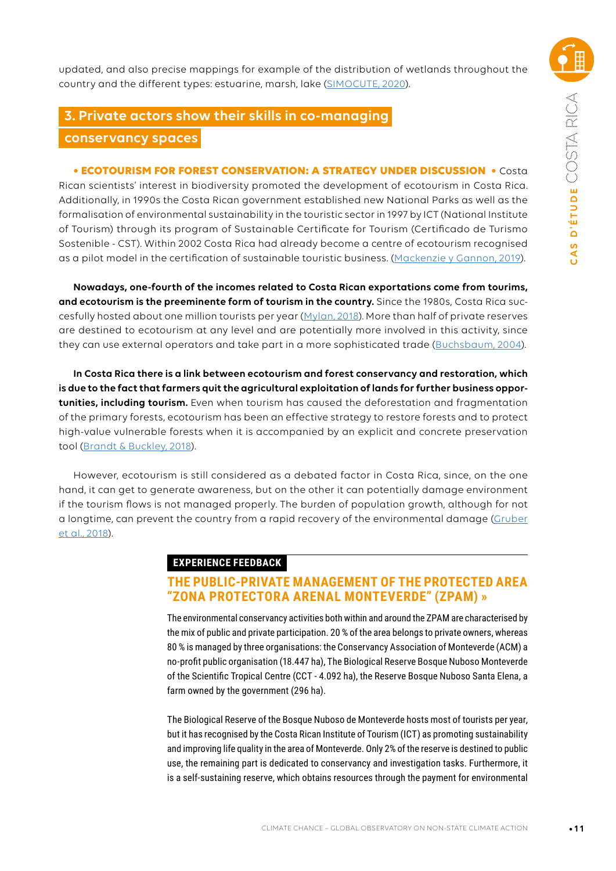updated, and also precise mappings for example of the distribution of wetlands throughout the country and the different types: estuarine, marsh, lake [\(SIMOCUTE, 2020\)](https://simocute.go.cr).

## **3. Private actors show their skills in co-managing**

## **conservancy spaces**

**• ECOTOURISM FOR FOREST CONSERVATION: A STRATEGY UNDER DISCUSSION •** Costa Rican scientists' interest in biodiversity promoted the development of ecotourism in Costa Rica. Additionally, in 1990s the Costa Rican government established new National Parks as well as the formalisation of environmental sustainability in the touristic sector in 1997 by ICT (National Institute of Tourism) through its program of Sustainable Certificate for Tourism (Certificado de Turismo Sostenible - CST). Within 2002 Costa Rica had already become a centre of ecotourism recognised as a pilot model in the certification of sustainable touristic business. ([Mackenzie y Gannon, 2019](https://www.napier.ac.uk/research-and-innovation/research-search/outputs/exploring-the-antecedents-of-sustainable-tourism-development)).

**Nowadays, one-fourth of the incomes related to Costa Rican exportations come from tourims, and ecotourism is the preeminente form of tourism in the country.** Since the 1980s, Costa Rica succesfully hosted about one million tourists per year ([Mylan, 2018\)](https://digitalcommons.wou.edu/pure/vol7/iss1/8/). More than half of private reserves are destined to ecotourism at any level and are potentially more involved in this activity, since they can use external operators and take part in a more sophisticated trade ([Buchsbaum, 2004\)](http://citeseerx.ist.psu.edu/viewdoc/download?doi=10.1.1.567.6545&rep=rep1&type=pdf).

**In Costa Rica there is a link between ecotourism and forest conservancy and restoration, which is due to the fact that farmers quit the agricultural exploitation of lands for further business opportunities, including tourism.** Even when tourism has caused the deforestation and fragmentation of the primary forests, ecotourism has been an effective strategy to restore forests and to protect high-value vulnerable forests when it is accompanied by an explicit and concrete preservation tool [\(Brandt & Buckley, 2018\)](https://www.researchgate.net/publication/320257105_Measuring_conservation_success_beyond_the_traditional_biological_criteria_the_case_of_conservation_projects_in_Costa_Rica_Mekong_Valley_and_Cameroon_Jessica_Gruber_Richard_Mbatu_Rebecca_Johns_and_Barn).

However, ecotourism is still considered as a debated factor in Costa Rica, since, on the one hand, it can get to generate awareness, but on the other it can potentially damage environment if the tourism flows is not managed properly. The burden of population growth, although for not a longtime, can prevent the country from a rapid recovery of the environmental damage [\(Gruber](https://www.researchgate.net/publication/320257105_Measuring_conservation_success_beyond_the_traditional_biological_criteria_the_case_of_conservation_projects_in_Costa_Rica_Mekong_Valley_and_Cameroon_Jessica_Gruber_Richard_Mbatu_Rebecca_Johns_and_Barn) [et al., 2018\)](https://www.researchgate.net/publication/320257105_Measuring_conservation_success_beyond_the_traditional_biological_criteria_the_case_of_conservation_projects_in_Costa_Rica_Mekong_Valley_and_Cameroon_Jessica_Gruber_Richard_Mbatu_Rebecca_Johns_and_Barn).

## **EXPERIENCE FEEDBACK**

## **THE PUBLIC-PRIVATE MANAGEMENT OF THE PROTECTED AREA "ZONA PROTECTORA ARENAL MONTEVERDE" (ZPAM) »**

The environmental conservancy activities both within and around the ZPAM are characterised by the mix of public and private participation. 20 % of the area belongs to private owners, whereas 80 % is managed by three organisations: the Conservancy Association of Monteverde (ACM) a no-profit public organisation (18.447 ha), The Biological Reserve Bosque Nuboso Monteverde of the Scientific Tropical Centre (CCT - 4.092 ha), the Reserve Bosque Nuboso Santa Elena, a farm owned by the government (296 ha).

The Biological Reserve of the Bosque Nuboso de Monteverde hosts most of tourists per year, but it has recognised by the Costa Rican Institute of Tourism (ICT) as promoting sustainability and improving life quality in the area of Monteverde. Only 2% of the reserve is destined to public use, the remaining part is dedicated to conservancy and investigation tasks. Furthermore, it is a self-sustaining reserve, which obtains resources through the payment for environmental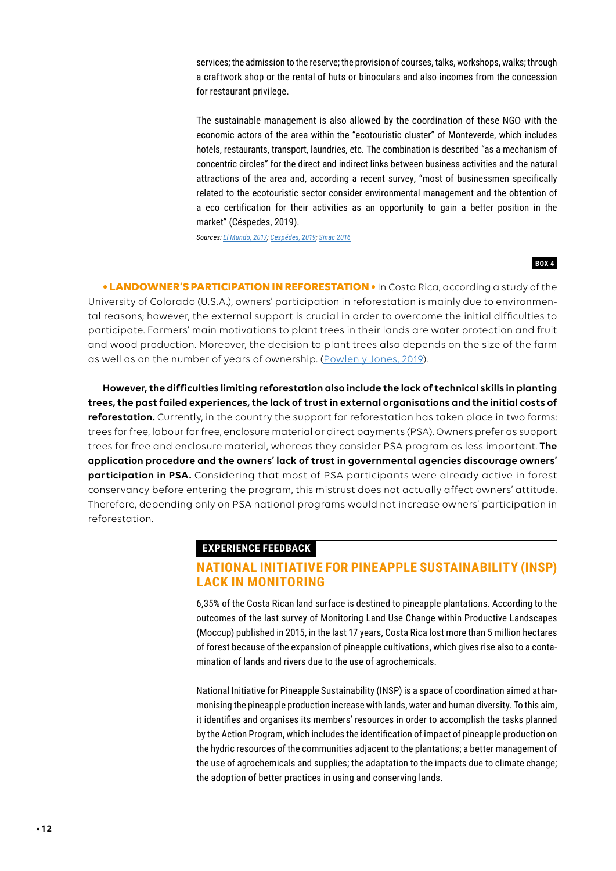services; the admission to the reserve; the provision of courses, talks, workshops, walks; through a craftwork shop or the rental of huts or binoculars and also incomes from the concession for restaurant privilege.

The sustainable management is also allowed by the coordination of these NGO with the economic actors of the area within the "ecotouristic cluster" of Monteverde, which includes hotels, restaurants, transport, laundries, etc. The combination is described "as a mechanism of concentric circles" for the direct and indirect links between business activities and the natural attractions of the area and, according a recent survey, "most of businessmen specifically related to the ecotouristic sector consider environmental management and the obtention of a eco certification for their activities as an opportunity to gain a better position in the market" (Céspedes, 2019).

*Sources: [El Mundo, 2017](https://www.elmundo.cr/costa-rica/cct-costa-rica-debe-seguir-apostando-por-el-ecoturismo/); [Cespédes,](https://www.researchgate.net/publication/237473881_Ecoturismo_ambiente_y_desarrollo_local_en_Monteverde) 2019; [Sinac 2016](https://canjeporbosques.org/wp-content/uploads/2017/07/Plan-de-Manejo-2.pdf)*

**BOX 4**

**• LANDOWNER'S PARTICIPATION IN REFORESTATION •** In Costa Rica, according a study of the University of Colorado (U.S.A.), owners' participation in reforestation is mainly due to environmental reasons; however, the external support is crucial in order to overcome the initial difficulties to participate. Farmers' main motivations to plant trees in their lands are water protection and fruit and wood production. Moreover, the decision to plant trees also depends on the size of the farm as well as on the number of years of ownership. ([Powlen y Jones, 2019](https://www.sciencedirect.com/science/article/abs/pii/S0264837718311529?via%3Dihub)).

**However, the difficulties limiting reforestation also include the lack of technical skills in planting trees, the past failed experiences, the lack of trust in external organisations and the initial costs of reforestation.** Currently, in the country the support for reforestation has taken place in two forms: trees for free, labour for free, enclosure material or direct payments (PSA). Owners prefer as support trees for free and enclosure material, whereas they consider PSA program as less important. **The application procedure and the owners' lack of trust in governmental agencies discourage owners' participation in PSA.** Considering that most of PSA participants were already active in forest conservancy before entering the program, this mistrust does not actually affect owners' attitude. Therefore, depending only on PSA national programs would not increase owners' participation in reforestation.

#### **EXPERIENCE FEEDBACK**

## **NATIONAL INITIATIVE FOR PINEAPPLE SUSTAINABILITY (INSP) LACK IN MONITORING**

6,35% of the Costa Rican land surface is destined to pineapple plantations. According to the outcomes of the last survey of Monitoring Land Use Change within Productive Landscapes (Moccup) published in 2015, in the last 17 years, Costa Rica lost more than 5 million hectares of forest because of the expansion of pineapple cultivations, which gives rise also to a contamination of lands and rivers due to the use of agrochemicals.

National Initiative for Pineapple Sustainability (INSP) is a space of coordination aimed at harmonising the pineapple production increase with lands, water and human diversity. To this aim, it identifies and organises its members' resources in order to accomplish the tasks planned by the Action Program, which includes the identification of impact of pineapple production on the hydric resources of the communities adjacent to the plantations; a better management of the use of agrochemicals and supplies; the adaptation to the impacts due to climate change; the adoption of better practices in using and conserving lands.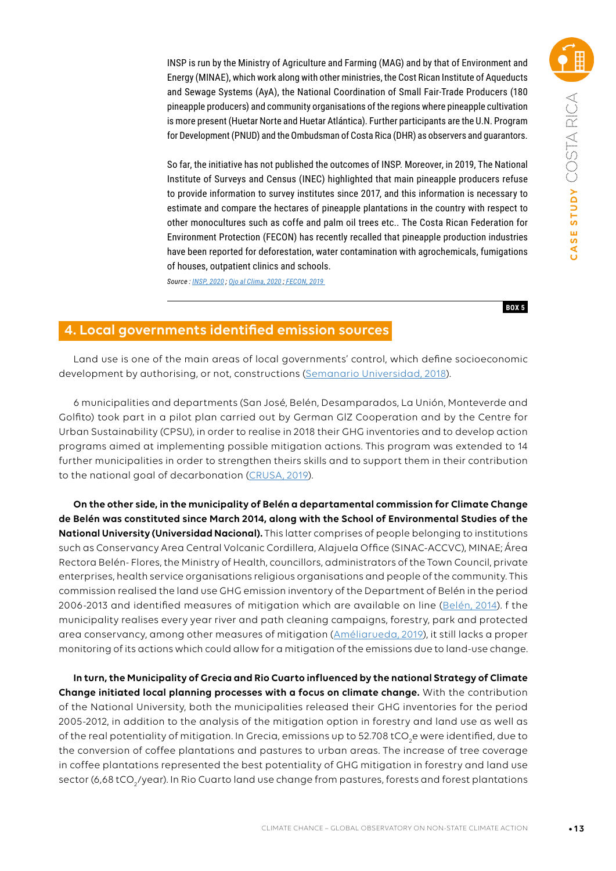INSP is run by the Ministry of Agriculture and Farming (MAG) and by that of Environment and Energy (MINAE), which work along with other ministries, the Cost Rican Institute of Aqueducts and Sewage Systems (AyA), the National Coordination of Small Fair-Trade Producers (180 pineapple producers) and community organisations of the regions where pineapple cultivation is more present (Huetar Norte and Huetar Atlántica). Further participants are the U.N. Program for Development (PNUD) and the Ombudsman of Costa Rica (DHR) as observers and guarantors.

So far, the initiative has not published the outcomes of INSP. Moreover, in 2019, The National Institute of Surveys and Census (INEC) highlighted that main pineapple producers refuse to provide information to survey institutes since 2017, and this information is necessary to estimate and compare the hectares of pineapple plantations in the country with respect to other monocultures such as coffe and palm oil trees etc.. The Costa Rican Federation for Environment Protection (FECON) has recently recalled that pineapple production industries have been reported for deforestation, water contamination with agrochemicals, fumigations of houses, outpatient clinics and schools.

*Source : [INSP, 2020](https://semanariouniversidad.com/opinion/municipalidades-y-responsabilidades-socioambientales/) ; [Ojo al Clima, 2020](https://ojoalclima.com/especiales/pina-entorpece-accion-climatica/) ; [FECON, 2019](https://ojoalclima.com/especiales/pina-entorpece-accion-climatica/)* 

**BOX 5**

## **4. Local governments identified emission sources**

Land use is one of the main areas of local governments' control, which define socioeconomic development by authorising, or not, constructions [\(Semanario Universidad, 2018](https://semanariouniversidad.com/opinion/municipalidades-y-responsabilidades-socioambientales/)).

6 municipalities and departments (San José, Belén, Desamparados, La Unión, Monteverde and Golfito) took part in a pilot plan carried out by German GlZ Cooperation and by the Centre for Urban Sustainability (CPSU), in order to realise in 2018 their GHG inventories and to develop action programs aimed at implementing possible mitigation actions. This program was extended to 14 further municipalities in order to strengthen theirs skills and to support them in their contribution to the national goal of decarbonation ([CRUSA, 2019\)](https://crusa.cr/14-municipalidades-son-seleccionadas-para-contabilizar-sus-emisiones-de-gases-de-efecto-invernadero/).

**On the other side, in the municipality of Belén a departamental commission for Climate Change de Belén was constituted since March 2014, along with the School of Environmental Studies of the National University (Universidad Nacional).** This latter comprises of people belonging to institutions such as Conservancy Area Central Volcanic Cordillera, Alajuela Office (SINAC-ACCVC), MINAE; Área Rectora Belén- Flores, the Ministry of Health, councillors, administrators of the Town Council, private enterprises, health service organisations religious organisations and people of the community. This commission realised the land use GHG emission inventory of the Department of Belén in the period 2006-2013 and identified measures of mitigation which are available on line ([Belén, 2014](https://www.belen.go.cr/documents/20181/76300/Inventario+de+emisiones+y+absorciones+de+gases+de+efecto+invernadero+en+el+sector+forestal+y+uso+.pdf/d14d08ae-b5f8-4b67-ab70-be8e46781bfa)). f the municipality realises every year river and path cleaning campaigns, forestry, park and protected area conservancy, among other measures of mitigation (Améliarueda, 2019), it still lacks a proper monitoring of its actions which could allow for a mitigation of the emissions due to land-use change.

**In turn, the Municipality of Grecia and Rio Cuarto influenced by the national Strategy of Climate Change initiated local planning processes with a focus on climate change.** With the contribution of the National University, both the municipalities released their GHG inventories for the period 2005-2012, in addition to the analysis of the mitigation option in forestry and land use as well as of the real potentiality of mitigation. In Grecia, emissions up to 52.708 tCO<sub>2</sub>e were identified, due to the conversion of coffee plantations and pastures to urban areas. The increase of tree coverage in coffee plantations represented the best potentiality of GHG mitigation in forestry and land use sector (6,68 tCO $_{\rm 2}$ /year). In Rio Cuarto land use change from pastures, forests and forest plantations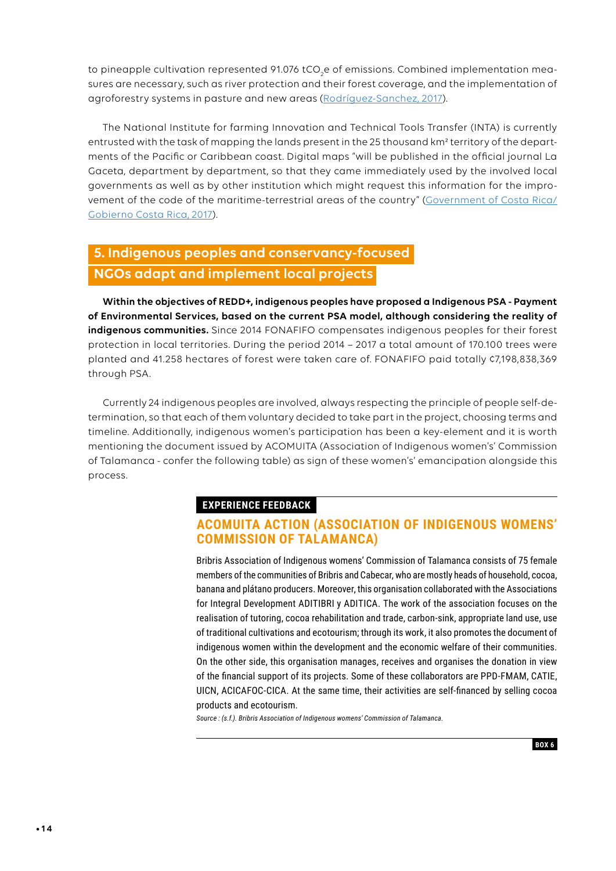to pineapple cultivation represented 91.076 tCO<sub>2</sub>e of emissions. Combined implementation measures are necessary, such as river protection and their forest coverage, and the implementation of agroforestry systems in pasture and new areas [\(Rodríguez-Sanchez, 2017\)](https://presidencia.go.cr/comunicados/2017/02/realizaran-nuevos-mapas-de-uso-de-la-tierra-para-mas-de-25-mil-km2-de-costas-en-el-oceano-pacifico-y-mar-caribe/).

The National Institute for farming Innovation and Technical Tools Transfer (INTA) is currently entrusted with the task of mapping the lands present in the 25 thousand km² territory of the departments of the Pacific or Caribbean coast. Digital maps "will be published in the official journal La Gaceta, department by department, so that they came immediately used by the involved local governments as well as by other institution which might request this information for the improvement of the code of the maritime-terrestrial areas of the country" (Government of Costa Rica/ Gobierno Costa Rica, 2017).

# **5. Indigenous peoples and conservancy-focused NGOs adapt and implement local projects**

**Within the objectives of REDD+, indigenous peoples have proposed a Indigenous PSA - Payment of Environmental Services, based on the current PSA model, although considering the reality of indigenous communities.** Since 2014 FONAFIFO compensates indigenous peoples for their forest protection in local territories. During the period 2014 – 2017 a total amount of 170.100 trees were planted and 41.258 hectares of forest were taken care of. FONAFIFO paid totally ¢7,198,838,369 through PSA.

Currently 24 indigenous peoples are involved, always respecting the principle of people self-determination, so that each of them voluntary decided to take part in the project, choosing terms and timeline. Additionally, indigenous women's participation has been a key-element and it is worth mentioning the document issued by ACOMUITA (Association of Indigenous women's' Commission of Talamanca - confer the following table) as sign of these women's' emancipation alongside this process.

## **EXPERIENCE FEEDBACK**

## **ACOMUITA ACTION (ASSOCIATION OF INDIGENOUS WOMENS' COMMISSION OF TALAMANCA)**

Bribris Association of Indigenous womens' Commission of Talamanca consists of 75 female members of the communities of Bribris and Cabecar, who are mostly heads of household, cocoa, banana and plátano producers. Moreover, this organisation collaborated with the Associations for Integral Development ADITIBRI y ADITICA. The work of the association focuses on the realisation of tutoring, cocoa rehabilitation and trade, carbon-sink, appropriate land use, use of traditional cultivations and ecotourism; through its work, it also promotes the document of indigenous women within the development and the economic welfare of their communities. On the other side, this organisation manages, receives and organises the donation in view of the financial support of its projects. Some of these collaborators are PPD-FMAM, CATIE, UICN, ACICAFOC-CICA. At the same time, their activities are self-financed by selling cocoa products and ecotourism.

*Source : (s.f.). Bribris Association of Indigenous womens' Commission of Talamanca.*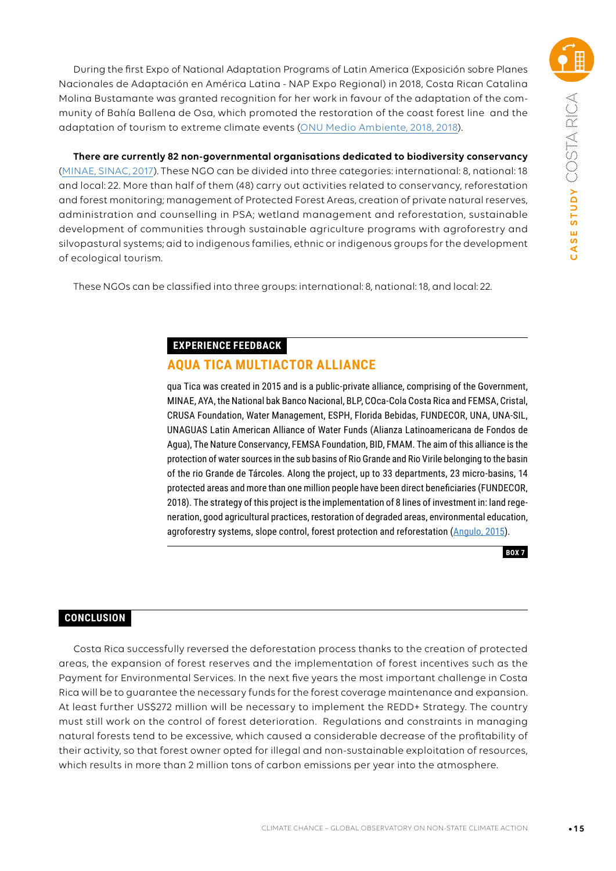During the first Expo of National Adaptation Programs of Latin America (Exposición sobre Planes Nacionales de Adaptación en América Latina - NAP Expo Regional) in 2018, Costa Rican Catalina Molina Bustamante was granted recognition for her work in favour of the adaptation of the community of Bahía Ballena de Osa, which promoted the restoration of the coast forest line and the adaptation of tourism to extreme climate events [\(ONU Medio Ambiente, 2018, 2018\)](http://www.cambioclimatico-regatta.org/index.php/es/ultimas-noticias/item/onu-medio-ambiente-identifica-soluciones-innovadoras-en-adaptacion-al-cambio-climatico).

**There are currently 82 non-governmental organisations dedicated to biodiversity conservancy**  ([MINAE, SINAC, 2017](http://www.sinac.go.cr/ES/partciudygober/Documents/MAPCOBIO/ONGs%20para%20la%20Conservacion%20de%20la%20Biodiversidad.pdf)). These NGO can be divided into three categories: international: 8, national: 18 and local: 22. More than half of them (48) carry out activities related to conservancy, reforestation and forest monitoring; management of Protected Forest Areas, creation of private natural reserves, administration and counselling in PSA; wetland management and reforestation, sustainable development of communities through sustainable agriculture programs with agroforestry and silvopastural systems; aid to indigenous families, ethnic or indigenous groups for the development of ecological tourism.

These NGOs can be classified into three groups: international: 8, national: 18, and local: 22.

#### **EXPERIENCE FEEDBACK**

## **AQUA TICA MULTIACTOR ALLIANCE**

qua Tica was created in 2015 and is a public-private alliance, comprising of the Government, MINAE, AYA, the National bak Banco Nacional, BLP, COca-Cola Costa Rica and FEMSA, Cristal, CRUSA Foundation, Water Management, ESPH, Florida Bebidas, FUNDECOR, UNA, UNA-SIL, UNAGUAS Latin American Alliance of Water Funds (Alianza Latinoamericana de Fondos de Agua), The Nature Conservancy, FEMSA Foundation, BID, FMAM. The aim of this alliance is the protection of water sources in the sub basins of Rio Grande and Rio Virile belonging to the basin of the rio Grande de Tárcoles. Along the project, up to 33 departments, 23 micro-basins, 14 protected areas and more than one million people have been direct beneficiaries (FUNDECOR, 2018). The strategy of this project is the implementation of 8 lines of investment in: land regeneration, good agricultural practices, restoration of degraded areas, environmental education, agroforestry systems, slope control, forest protection and reforestation [\(Angulo, 2015\)](https://www.elmundo.cr/costa-rica/agua-tica-se-convierte-en-el-primer-fondo-para-custodiar-el-patrimonio-hidrico-del-pais/).



## **CONCLUSION**

Costa Rica successfully reversed the deforestation process thanks to the creation of protected areas, the expansion of forest reserves and the implementation of forest incentives such as the Payment for Environmental Services. In the next five years the most important challenge in Costa Rica will be to guarantee the necessary funds for the forest coverage maintenance and expansion. At least further US\$272 million will be necessary to implement the REDD+ Strategy. The country must still work on the control of forest deterioration. Regulations and constraints in managing natural forests tend to be excessive, which caused a considerable decrease of the profitability of their activity, so that forest owner opted for illegal and non-sustainable exploitation of resources, which results in more than 2 million tons of carbon emissions per year into the atmosphere.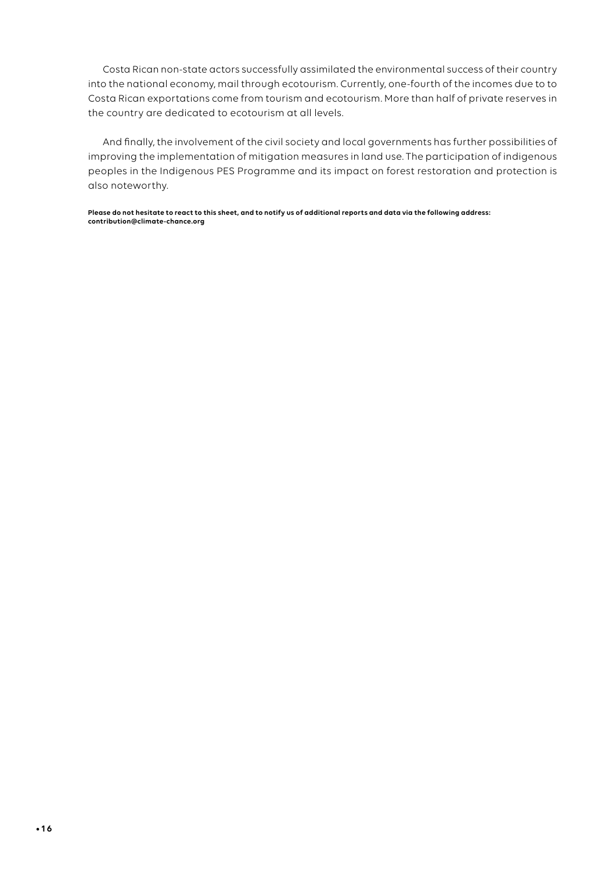Costa Rican non-state actors successfully assimilated the environmental success of their country into the national economy, mail through ecotourism. Currently, one-fourth of the incomes due to to Costa Rican exportations come from tourism and ecotourism. More than half of private reserves in the country are dedicated to ecotourism at all levels.

And finally, the involvement of the civil society and local governments has further possibilities of improving the implementation of mitigation measures in land use. The participation of indigenous peoples in the Indigenous PES Programme and its impact on forest restoration and protection is also noteworthy.

**Please do not hesitate to react to this sheet, and to notify us of additional reports and data via the following address: contribution@climate-chance.org**